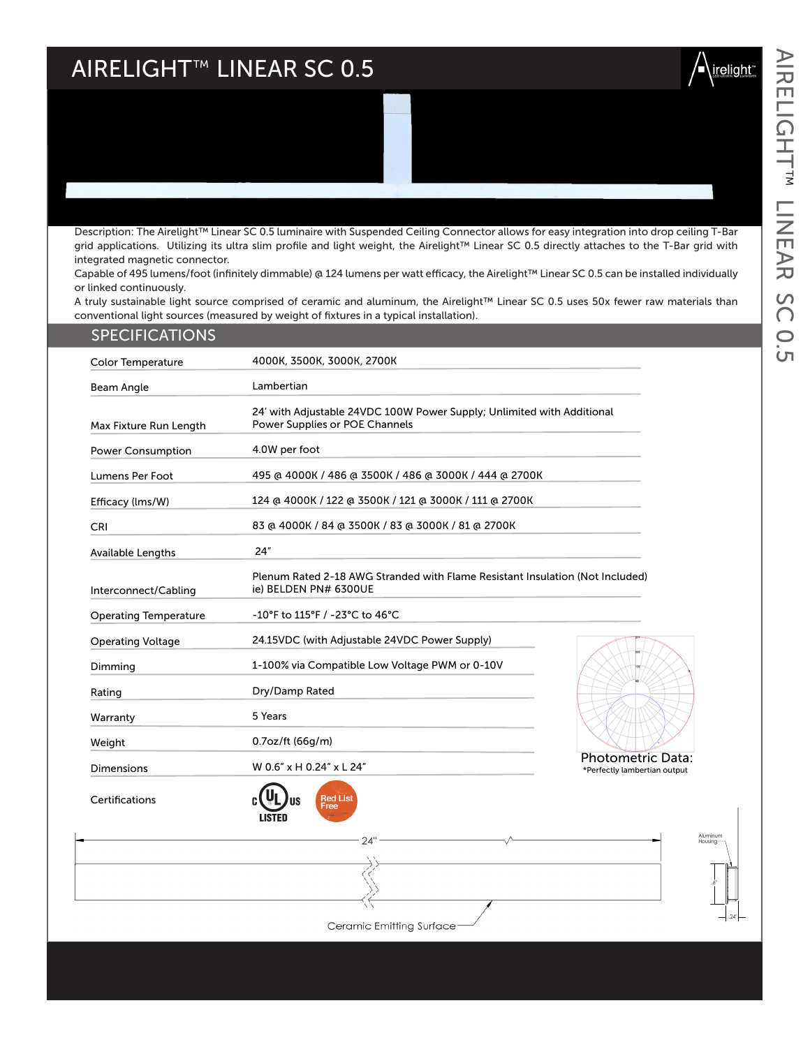## $\mathsf{AIRELIGHT}^{\scriptscriptstyle \mathsf{TM}}$  LINEAR SC 0.5

integrated magnetic connector.



AIRELIGHT LINEAR SC 0.5

SC

**O.5** 

AIRELIGHT™ LINEAR

Capable of 495 lumens/foot (infinitely dimmable) @ 124 lumens per watt efficacy, the Airelight™ Linear SC 0.5 can be installed individually or linked continuously. A truly sustainable light source comprised of ceramic and aluminum, the Airelight™ Linear SC 0.5 uses 50x fewer raw materials than conventional light sources (measured by weight of fixtures in a typical installation). Color Temperature 4000K, 3500K, 3000K, 2700K SPECIFICATIONS

| Beam Angle                   | Lambertian                                                                                               |  |  |  |
|------------------------------|----------------------------------------------------------------------------------------------------------|--|--|--|
| Max Fixture Run Length       | 24' with Adjustable 24VDC 100W Power Supply; Unlimited with Additional<br>Power Supplies or POE Channels |  |  |  |
| <b>Power Consumption</b>     | 4.0W per foot                                                                                            |  |  |  |
| Lumens Per Foot              | 495 @ 4000K / 486 @ 3500K / 486 @ 3000K / 444 @ 2700K                                                    |  |  |  |
| Efficacy (lms/W)             | 124 @ 4000K / 122 @ 3500K / 121 @ 3000K / 111 @ 2700K                                                    |  |  |  |
| <b>CRI</b>                   | 83 @ 4000K / 84 @ 3500K / 83 @ 3000K / 81 @ 2700K                                                        |  |  |  |
| <b>Available Lengths</b>     | 24"                                                                                                      |  |  |  |
| Interconnect/Cabling         | Plenum Rated 2-18 AWG Stranded with Flame Resistant Insulation (Not Included)<br>ie) BELDEN PN# 6300UE   |  |  |  |
| <b>Operating Temperature</b> | -10°F to 115°F / -23°C to 46°C                                                                           |  |  |  |
| <b>Operating Voltage</b>     | 24.15VDC (with Adjustable 24VDC Power Supply)                                                            |  |  |  |
| Dimming                      | 1-100% via Compatible Low Voltage PWM or 0-10V                                                           |  |  |  |
| Rating                       | Dry/Damp Rated                                                                                           |  |  |  |
| Warranty                     | 5 Years                                                                                                  |  |  |  |
| Weight                       | 0.7oz/ft (66g/m)                                                                                         |  |  |  |
| Dimensions                   | <b>Photometric D</b><br>W 0.6" x H 0.24" x L 24"<br>*Perfectly lambertian ou                             |  |  |  |
|                              |                                                                                                          |  |  |  |

Description: The Airelight™ Linear SC 0.5 luminaire with Suspended Ceiling Connector allows for easy integration into drop ceiling T-Bar grid applications. Utilizing its ultra slim profile and light weight, the Airelight™ Linear SC 0.5 directly attaches to the T-Bar grid with

Certifications





 .6" .24" Aluminum Housing



 $24"$